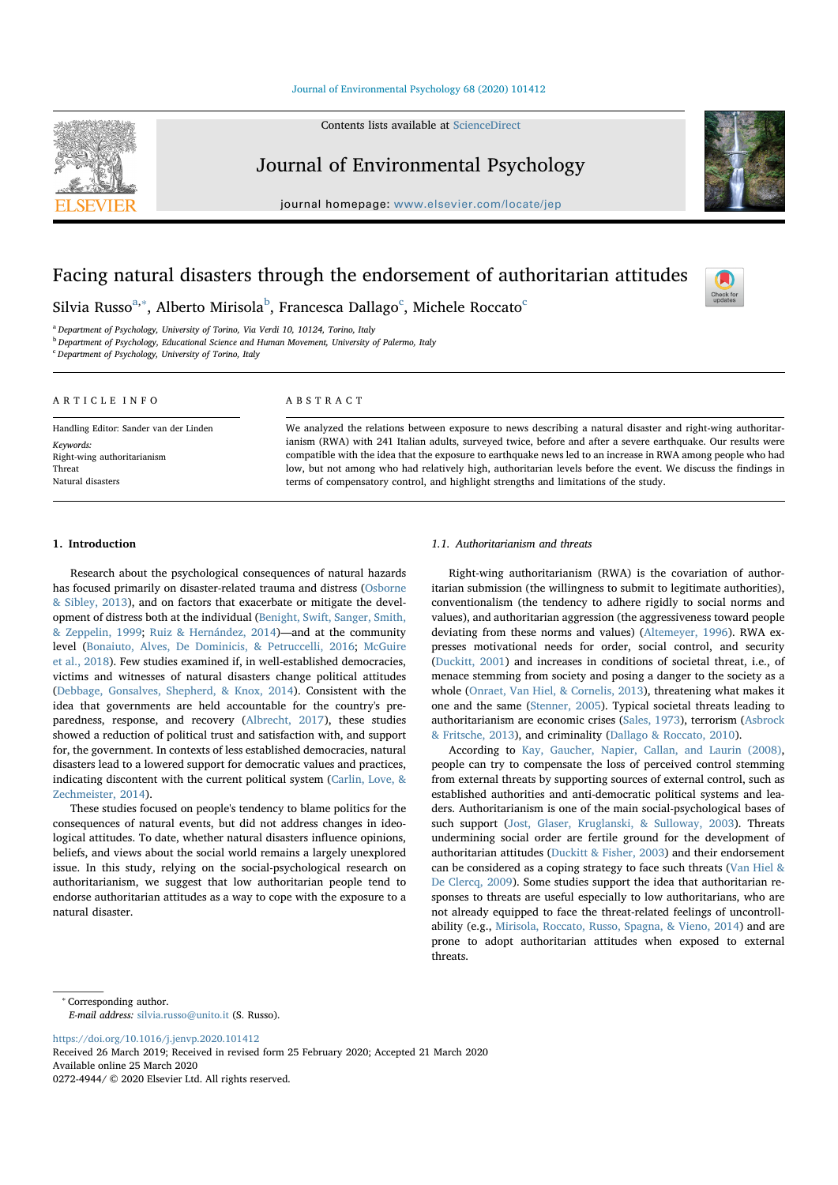Contents lists available at ScienceDirect



# Journal of Environmental Psychology

journal homepage: www.elsevier.com/locate/jep



Check for<br>updates

## Facing natural disasters through the endorsement of authoritarian attitudes

Silvia Russo $^\mathrm{a, *},$  Alberto Mirisola $^\mathrm{b}$ , Francesca Dallago $^\mathrm{c}$ , Michele Roccato $^\mathrm{c}$ 

<sup>a</sup> Department of Psychology, University of Torino, Via Verdi 10, 10124, Torino, Italy

<sup>b</sup> Department of Psychology, Educational Science and Human Movement, University of Palermo, Italy

<sup>c</sup> Department of Psychology, University of Torino, Italy

#### ARTICLE INFO

Handling Editor: Sander van der Linden Keywords: Right-wing authoritarianism Threat Natural disasters

## ABSTRACT

We analyzed the relations between exposure to news describing a natural disaster and right-wing authoritarianism (RWA) with 241 Italian adults, surveyed twice, before and after a severe earthquake. Our results were compatible with the idea that the exposure to earthquake news led to an increase in RWA among people who had low, but not among who had relatively high, authoritarian levels before the event. We discuss the findings in terms of compensatory control, and highlight strengths and limitations of the study.

### 1. Introduction

Research about the psychological consequences of natural hazards has focused primarily on disaster-related trauma and distress (Osborne & Sibley, 2013), and on factors that exacerbate or mitigate the development of distress both at the individual (Benight, Swift, Sanger, Smith, & Zeppelin, 1999; Ruiz & Hernández, 2014)—and at the community level (Bonaiuto, Alves, De Dominicis, & Petruccelli, 2016; McGuire et al., 2018). Few studies examined if, in well-established democracies, victims and witnesses of natural disasters change political attitudes (Debbage, Gonsalves, Shepherd, & Knox, 2014). Consistent with the idea that governments are held accountable for the country's preparedness, response, and recovery (Albrecht, 2017), these studies showed a reduction of political trust and satisfaction with, and support for, the government. In contexts of less established democracies, natural disasters lead to a lowered support for democratic values and practices, indicating discontent with the current political system (Carlin, Love, & Zechmeister, 2014).

These studies focused on people's tendency to blame politics for the consequences of natural events, but did not address changes in ideological attitudes. To date, whether natural disasters influence opinions, beliefs, and views about the social world remains a largely unexplored issue. In this study, relying on the social-psychological research on authoritarianism, we suggest that low authoritarian people tend to endorse authoritarian attitudes as a way to cope with the exposure to a natural disaster.

#### 1.1. Authoritarianism and threats

Right-wing authoritarianism (RWA) is the covariation of authoritarian submission (the willingness to submit to legitimate authorities), conventionalism (the tendency to adhere rigidly to social norms and values), and authoritarian aggression (the aggressiveness toward people deviating from these norms and values) (Altemeyer, 1996). RWA expresses motivational needs for order, social control, and security (Duckitt, 2001) and increases in conditions of societal threat, i.e., of menace stemming from society and posing a danger to the society as a whole (Onraet, Van Hiel, & Cornelis, 2013), threatening what makes it one and the same (Stenner, 2005). Typical societal threats leading to authoritarianism are economic crises (Sales, 1973), terrorism (Asbrock & Fritsche, 2013), and criminality (Dallago & Roccato, 2010).

According to Kay, Gaucher, Napier, Callan, and Laurin (2008), people can try to compensate the loss of perceived control stemming from external threats by supporting sources of external control, such as established authorities and anti-democratic political systems and leaders. Authoritarianism is one of the main social-psychological bases of such support (Jost, Glaser, Kruglanski, & Sulloway, 2003). Threats undermining social order are fertile ground for the development of authoritarian attitudes (Duckitt & Fisher, 2003) and their endorsement can be considered as a coping strategy to face such threats (Van Hiel & De Clercq, 2009). Some studies support the idea that authoritarian responses to threats are useful especially to low authoritarians, who are not already equipped to face the threat-related feelings of uncontrollability (e.g., Mirisola, Roccato, Russo, Spagna, & Vieno, 2014) and are prone to adopt authoritarian attitudes when exposed to external threats.

<sup>∗</sup> Corresponding author. E-mail address: silvia.russo@unito.it (S. Russo).

https://doi.org/10.1016/j.jenvp.2020.101412

Received 26 March 2019; Received in revised form 25 February 2020; Accepted 21 March 2020

Available online 25 March 2020 0272-4944/ © 2020 Elsevier Ltd. All rights reserved.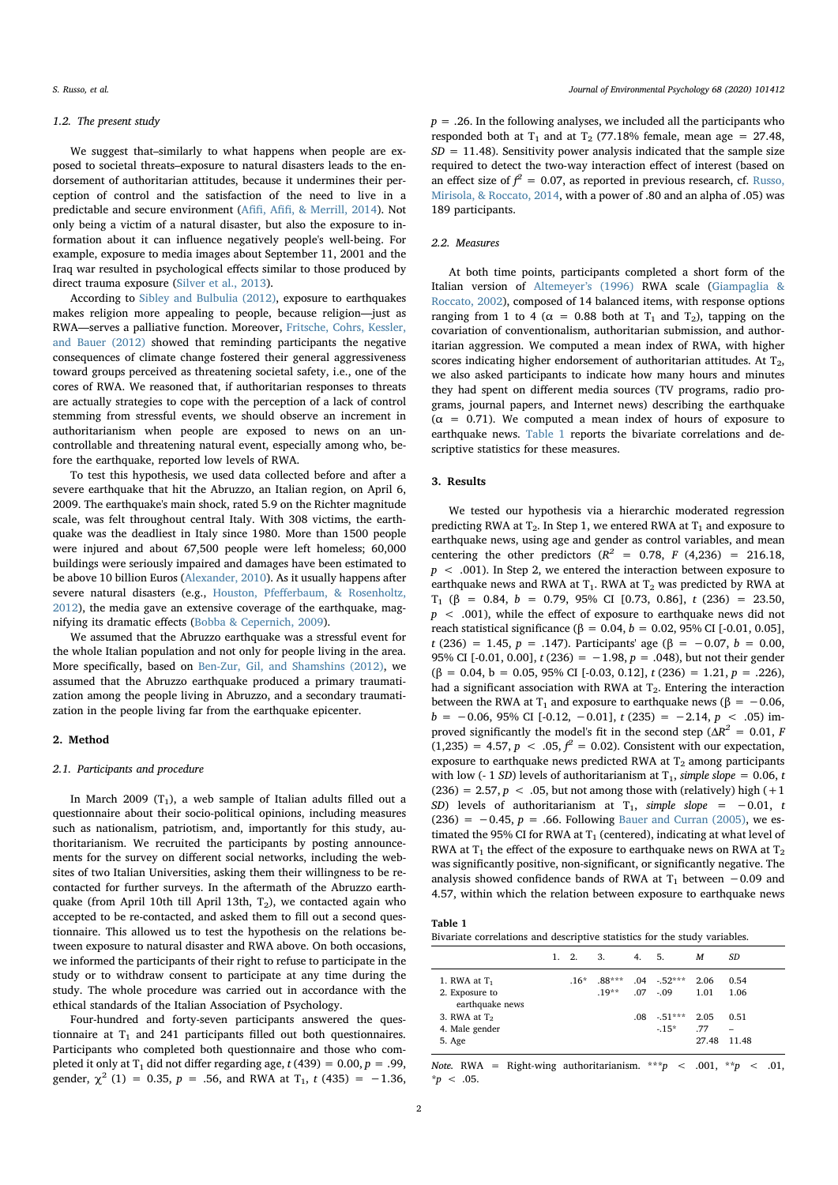#### 1.2. The present study

We suggest that–similarly to what happens when people are exposed to societal threats–exposure to natural disasters leads to the endorsement of authoritarian attitudes, because it undermines their perception of control and the satisfaction of the need to live in a predictable and secure environment (Afifi, Afifi, & Merrill, 2014). Not only being a victim of a natural disaster, but also the exposure to information about it can influence negatively people's well-being. For example, exposure to media images about September 11, 2001 and the Iraq war resulted in psychological effects similar to those produced by direct trauma exposure (Silver et al., 2013).

According to Sibley and Bulbulia (2012), exposure to earthquakes makes religion more appealing to people, because religion—just as RWA—serves a palliative function. Moreover, Fritsche, Cohrs, Kessler, and Bauer (2012) showed that reminding participants the negative consequences of climate change fostered their general aggressiveness toward groups perceived as threatening societal safety, i.e., one of the cores of RWA. We reasoned that, if authoritarian responses to threats are actually strategies to cope with the perception of a lack of control stemming from stressful events, we should observe an increment in authoritarianism when people are exposed to news on an uncontrollable and threatening natural event, especially among who, before the earthquake, reported low levels of RWA.

To test this hypothesis, we used data collected before and after a severe earthquake that hit the Abruzzo, an Italian region, on April 6, 2009. The earthquake's main shock, rated 5.9 on the Richter magnitude scale, was felt throughout central Italy. With 308 victims, the earthquake was the deadliest in Italy since 1980. More than 1500 people were injured and about 67,500 people were left homeless; 60,000 buildings were seriously impaired and damages have been estimated to be above 10 billion Euros (Alexander, 2010). As it usually happens after severe natural disasters (e.g., Houston, Pfefferbaum, & Rosenholtz, 2012), the media gave an extensive coverage of the earthquake, magnifying its dramatic effects (Bobba & Cepernich, 2009).

We assumed that the Abruzzo earthquake was a stressful event for the whole Italian population and not only for people living in the area. More specifically, based on Ben-Zur, Gil, and Shamshins (2012), we assumed that the Abruzzo earthquake produced a primary traumatization among the people living in Abruzzo, and a secondary traumatization in the people living far from the earthquake epicenter.

#### 2. Method

#### 2.1. Participants and procedure

In March 2009  $(T_1)$ , a web sample of Italian adults filled out a questionnaire about their socio-political opinions, including measures such as nationalism, patriotism, and, importantly for this study, authoritarianism. We recruited the participants by posting announcements for the survey on different social networks, including the websites of two Italian Universities, asking them their willingness to be recontacted for further surveys. In the aftermath of the Abruzzo earthquake (from April 10th till April 13th,  $T_2$ ), we contacted again who accepted to be re-contacted, and asked them to fill out a second questionnaire. This allowed us to test the hypothesis on the relations between exposure to natural disaster and RWA above. On both occasions, we informed the participants of their right to refuse to participate in the study or to withdraw consent to participate at any time during the study. The whole procedure was carried out in accordance with the ethical standards of the Italian Association of Psychology.

Four-hundred and forty-seven participants answered the questionnaire at  $T_1$  and 241 participants filled out both questionnaires. Participants who completed both questionnaire and those who completed it only at T<sub>1</sub> did not differ regarding age,  $t$  (439) = 0.00,  $p = .99$ , gender,  $\chi^2$  (1) = 0.35, p = .56, and RWA at T<sub>1</sub>, t (435) = -1.36,  $p = 0.26$ . In the following analyses, we included all the participants who responded both at T<sub>1</sub> and at T<sub>2</sub> (77.18% female, mean age = 27.48,  $SD = 11.48$ ). Sensitivity power analysis indicated that the sample size required to detect the two-way interaction effect of interest (based on an effect size of  $f^2 = 0.07$ , as reported in previous research, cf. Russo, Mirisola, & Roccato, 2014, with a power of .80 and an alpha of .05) was 189 participants.

#### 2.2. Measures

At both time points, participants completed a short form of the Italian version of Altemeyer's (1996) RWA scale (Giampaglia & Roccato, 2002), composed of 14 balanced items, with response options ranging from 1 to 4 ( $\alpha$  = 0.88 both at T<sub>1</sub> and T<sub>2</sub>), tapping on the covariation of conventionalism, authoritarian submission, and authoritarian aggression. We computed a mean index of RWA, with higher scores indicating higher endorsement of authoritarian attitudes. At  $T_2$ , we also asked participants to indicate how many hours and minutes they had spent on different media sources (TV programs, radio programs, journal papers, and Internet news) describing the earthquake  $(\alpha = 0.71)$ . We computed a mean index of hours of exposure to earthquake news. Table 1 reports the bivariate correlations and descriptive statistics for these measures.

#### 3. Results

We tested our hypothesis via a hierarchic moderated regression predicting RWA at  $T_2$ . In Step 1, we entered RWA at  $T_1$  and exposure to earthquake news, using age and gender as control variables, and mean centering the other predictors ( $R^2$  = 0.78, F (4,236) = 216.18,  $p \sim .001$ ). In Step 2, we entered the interaction between exposure to earthquake news and RWA at  $T_1$ . RWA at  $T_2$  was predicted by RWA at T<sub>1</sub> (β = 0.84, b = 0.79, 95% CI [0.73, 0.86], t (236) = 23.50,  $p \sim .001$ , while the effect of exposure to earthquake news did not reach statistical significance ( $\beta = 0.04$ ,  $b = 0.02$ , 95% CI [-0.01, 0.05]. t (236) = 1.45, p = .147). Participants' age (β = -0.07, b = 0.00, 95% CI [-0.01, 0.00],  $t$  (236) = -1.98, p = .048), but not their gender  $(\beta = 0.04, b = 0.05, 95\% \text{ CI} [-0.03, 0.12], t (236) = 1.21, p = .226)$ had a significant association with RWA at  $T<sub>2</sub>$ . Entering the interaction between the RWA at T<sub>1</sub> and exposure to earthquake news ( $\beta = -0.06$ ,  $b = -0.06, 95\%$  CI [-0.12, -0.01], t (235) = -2.14, p < .05) improved significantly the model's fit in the second step ( $\Delta R^2 = 0.01$ , F  $(1,235) = 4.57, p < .05, f^2 = 0.02$ . Consistent with our expectation, exposure to earthquake news predicted RWA at  $T_2$  among participants with low (- 1 SD) levels of authoritarianism at T<sub>1</sub>, simple slope = 0.06, t  $(236) = 2.57, p < .05$ , but not among those with (relatively) high (+1) SD) levels of authoritarianism at  $T_1$ , simple slope = -0.01, t  $(236) = -0.45$ ,  $p = .66$ . Following Bauer and Curran (2005), we estimated the 95% CI for RWA at  $T_1$  (centered), indicating at what level of RWA at  $T_1$  the effect of the exposure to earthquake news on RWA at  $T_2$ was significantly positive, non-significant, or significantly negative. The analysis showed confidence bands of RWA at  $T_1$  between  $-0.09$  and 4.57, within which the relation between exposure to earthquake news

| Table 1 |                                                                            |  |  |  |
|---------|----------------------------------------------------------------------------|--|--|--|
|         | Bivariate correlations and descriptive statistics for the study variables. |  |  |  |

|                                                                                          | 1, 2,  | 3.                  | 4.  | 5.                                                | М                           | SD                        |
|------------------------------------------------------------------------------------------|--------|---------------------|-----|---------------------------------------------------|-----------------------------|---------------------------|
| 1. RWA at $T_1$<br>2. Exposure to<br>earthquake news<br>3. RWA at $T2$<br>4. Male gender | $.16*$ | $.88***$<br>$.19**$ | .08 | $.04 - 52***$<br>$.07-.09$<br>$-.51***$<br>$-15*$ | 2.06<br>1.01<br>2.05<br>.77 | 0.54<br>1.06<br>0.51<br>۳ |
| 5. Age                                                                                   |        |                     |     |                                                   | 27.48                       | 11.48                     |

Note. RWA = Right-wing authoritarianism. \*\*\*  $p \leq .001$ , \*\* $p \leq .01$ ,  $*_{p} < .05$ .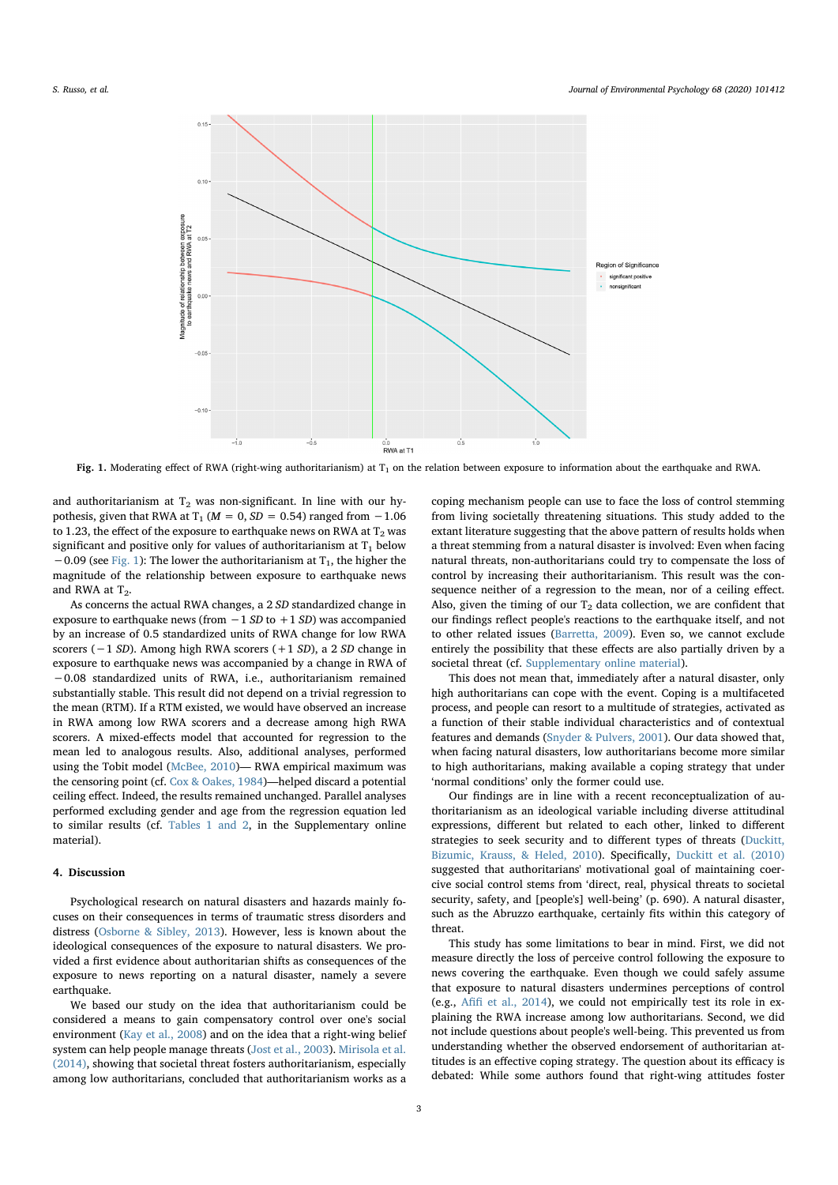

Fig. 1. Moderating effect of RWA (right-wing authoritarianism) at  $T_1$  on the relation between exposure to information about the earthquake and RWA.

and authoritarianism at  $T_2$  was non-significant. In line with our hypothesis, given that RWA at T<sub>1</sub> ( $M = 0$ ,  $SD = 0.54$ ) ranged from  $-1.06$ to 1.23, the effect of the exposure to earthquake news on RWA at  $T_2$  was significant and positive only for values of authoritarianism at  $T_1$  below  $-0.09$  (see Fig. 1): The lower the authoritarianism at T<sub>1</sub>, the higher the magnitude of the relationship between exposure to earthquake news and RWA at  $T_2$ .

As concerns the actual RWA changes, a 2 SD standardized change in exposure to earthquake news (from  $-1$  SD to  $+1$  SD) was accompanied by an increase of 0.5 standardized units of RWA change for low RWA scorers (−1 SD). Among high RWA scorers (+1 SD), a 2 SD change in exposure to earthquake news was accompanied by a change in RWA of −0.08 standardized units of RWA, i.e., authoritarianism remained substantially stable. This result did not depend on a trivial regression to the mean (RTM). If a RTM existed, we would have observed an increase in RWA among low RWA scorers and a decrease among high RWA scorers. A mixed-effects model that accounted for regression to the mean led to analogous results. Also, additional analyses, performed using the Tobit model (McBee, 2010)— RWA empirical maximum was the censoring point (cf. Cox & Oakes, 1984)—helped discard a potential ceiling effect. Indeed, the results remained unchanged. Parallel analyses performed excluding gender and age from the regression equation led to similar results (cf. Tables 1 and 2, in the Supplementary online material).

#### 4. Discussion

Psychological research on natural disasters and hazards mainly focuses on their consequences in terms of traumatic stress disorders and distress (Osborne & Sibley, 2013). However, less is known about the ideological consequences of the exposure to natural disasters. We provided a first evidence about authoritarian shifts as consequences of the exposure to news reporting on a natural disaster, namely a severe earthquake.

We based our study on the idea that authoritarianism could be considered a means to gain compensatory control over one's social environment (Kay et al., 2008) and on the idea that a right-wing belief system can help people manage threats (Jost et al., 2003). Mirisola et al. (2014), showing that societal threat fosters authoritarianism, especially among low authoritarians, concluded that authoritarianism works as a coping mechanism people can use to face the loss of control stemming from living societally threatening situations. This study added to the extant literature suggesting that the above pattern of results holds when a threat stemming from a natural disaster is involved: Even when facing natural threats, non-authoritarians could try to compensate the loss of control by increasing their authoritarianism. This result was the consequence neither of a regression to the mean, nor of a ceiling effect. Also, given the timing of our  $T_2$  data collection, we are confident that our findings reflect people's reactions to the earthquake itself, and not to other related issues (Barretta, 2009). Even so, we cannot exclude entirely the possibility that these effects are also partially driven by a societal threat (cf. Supplementary online material).

This does not mean that, immediately after a natural disaster, only high authoritarians can cope with the event. Coping is a multifaceted process, and people can resort to a multitude of strategies, activated as a function of their stable individual characteristics and of contextual features and demands (Snyder & Pulvers, 2001). Our data showed that, when facing natural disasters, low authoritarians become more similar to high authoritarians, making available a coping strategy that under 'normal conditions' only the former could use.

Our findings are in line with a recent reconceptualization of authoritarianism as an ideological variable including diverse attitudinal expressions, different but related to each other, linked to different strategies to seek security and to different types of threats (Duckitt, Bizumic, Krauss, & Heled, 2010). Specifically, Duckitt et al. (2010) suggested that authoritarians' motivational goal of maintaining coercive social control stems from 'direct, real, physical threats to societal security, safety, and [people's] well-being' (p. 690). A natural disaster, such as the Abruzzo earthquake, certainly fits within this category of threat.

This study has some limitations to bear in mind. First, we did not measure directly the loss of perceive control following the exposure to news covering the earthquake. Even though we could safely assume that exposure to natural disasters undermines perceptions of control (e.g., Afifi et al., 2014), we could not empirically test its role in explaining the RWA increase among low authoritarians. Second, we did not include questions about people's well-being. This prevented us from understanding whether the observed endorsement of authoritarian attitudes is an effective coping strategy. The question about its efficacy is debated: While some authors found that right-wing attitudes foster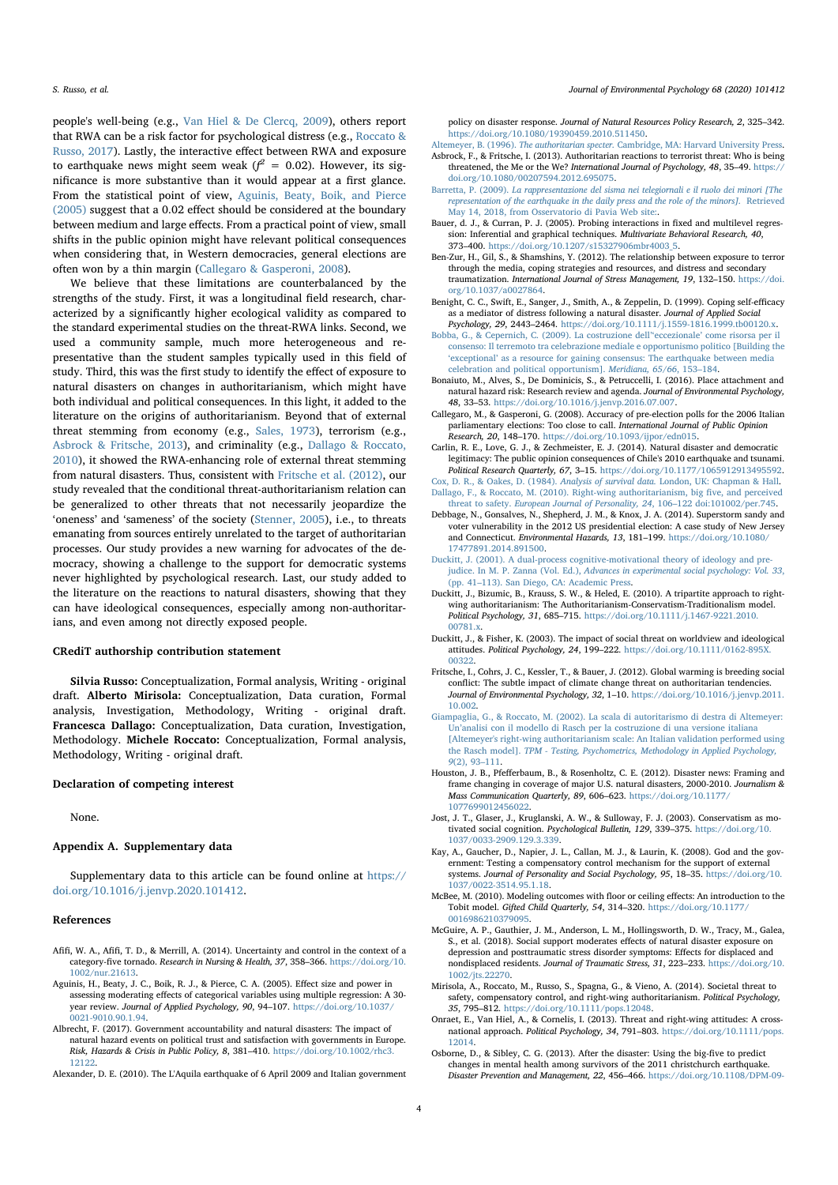people's well-being (e.g., Van Hiel & De Clercq, 2009), others report that RWA can be a risk factor for psychological distress (e.g., Roccato & Russo, 2017). Lastly, the interactive effect between RWA and exposure to earthquake news might seem weak ( $f^2 = 0.02$ ). However, its significance is more substantive than it would appear at a first glance. From the statistical point of view, Aguinis, Beaty, Boik, and Pierce (2005) suggest that a 0.02 effect should be considered at the boundary between medium and large effects. From a practical point of view, small shifts in the public opinion might have relevant political consequences when considering that, in Western democracies, general elections are often won by a thin margin (Callegaro & Gasperoni, 2008).

We believe that these limitations are counterbalanced by the strengths of the study. First, it was a longitudinal field research, characterized by a significantly higher ecological validity as compared to the standard experimental studies on the threat-RWA links. Second, we used a community sample, much more heterogeneous and representative than the student samples typically used in this field of study. Third, this was the first study to identify the effect of exposure to natural disasters on changes in authoritarianism, which might have both individual and political consequences. In this light, it added to the literature on the origins of authoritarianism. Beyond that of external threat stemming from economy (e.g., Sales, 1973), terrorism (e.g., Asbrock & Fritsche, 2013), and criminality (e.g., Dallago & Roccato, 2010), it showed the RWA-enhancing role of external threat stemming from natural disasters. Thus, consistent with Fritsche et al. (2012), our study revealed that the conditional threat-authoritarianism relation can be generalized to other threats that not necessarily jeopardize the 'oneness' and 'sameness' of the society (Stenner, 2005), i.e., to threats emanating from sources entirely unrelated to the target of authoritarian processes. Our study provides a new warning for advocates of the democracy, showing a challenge to the support for democratic systems never highlighted by psychological research. Last, our study added to the literature on the reactions to natural disasters, showing that they can have ideological consequences, especially among non-authoritarians, and even among not directly exposed people.

#### CRediT authorship contribution statement

Silvia Russo: Conceptualization, Formal analysis, Writing - original draft. Alberto Mirisola: Conceptualization, Data curation, Formal analysis, Investigation, Methodology, Writing - original draft. Francesca Dallago: Conceptualization, Data curation, Investigation, Methodology. Michele Roccato: Conceptualization, Formal analysis, Methodology, Writing - original draft.

#### Declaration of competing interest

None.

#### Appendix A. Supplementary data

Supplementary data to this article can be found online at https:// doi.org/10.1016/j.jenvp.2020.101412.

#### References

- Afifi, W. A., Afifi, T. D., & Merrill, A. (2014). Uncertainty and control in the context of a category-five tornado. Research in Nursing & Health, 37, 358-366. https://doi.org/10. 1002/nur.21613.
- Aguinis, H., Beaty, J. C., Boik, R. J., & Pierce, C. A. (2005). Effect size and power in assessing moderating effects of categorical variables using multiple regression: A 30 year review. Journal of Applied Psychology, 90, 94-107. https://doi.org/10.1037/ 0021-9010.90.1.94.
- Albrecht, F. (2017). Government accountability and natural disasters: The impact of natural hazard events on political trust and satisfaction with governments in Europe. Risk, Hazards & Crisis in Public Policy, 8, 381–410. https://doi.org/10.1002/rhc3. 12122.

policy on disaster response. Journal of Natural Resources Policy Research, 2, 325–342. https://doi.org/10.1080/19390459.2010.511450.

- Altemeyer, B. (1996). The authoritarian specter. Cambridge, MA: Harvard University Press. Asbrock, F., & Fritsche, I. (2013). Authoritarian reactions to terrorist threat: Who is being threatened, the Me or the We? International Journal of Psychology, 48, 35–49. https:// doi.org/10.1080/00207594.2012.695075.
- Barretta, P. (2009). La rappresentazione del sisma nei telegiornali e il ruolo dei minori [The representation of the earthquake in the daily press and the role of the minors]. Retrieved May 14, 2018, from Osservatorio di Pavia Web site:.
- Bauer, d. J., & Curran, P. J. (2005). Probing interactions in fixed and multilevel regression: Inferential and graphical techniques. Multivariate Behavioral Research, 40, 373–400. https://doi.org/10.1207/s15327906mbr4003\_5.
- Ben-Zur, H., Gil, S., & Shamshins, Y. (2012). The relationship between exposure to terror through the media, coping strategies and resources, and distress and secondary traumatization. International Journal of Stress Management, 19, 132–150. https://doi. org/10.1037/a0027864.
- Benight, C. C., Swift, E., Sanger, J., Smith, A., & Zeppelin, D. (1999). Coping self‐efficacy as a mediator of distress following a natural disaster. Journal of Applied Social Psychology, 29, 2443–2464. https://doi.org/10.1111/j.1559-1816.1999.tb00120.x.
- Bobba, G., & Cepernich, C. (2009). La costruzione dell''eccezionale' come risorsa per il consenso: Il terremoto tra celebrazione mediale e opportunismo politico [Building the 'exceptional' as a resource for gaining consensus: The earthquake between media celebration and political opportunism]. Meridiana, 65/66, 153–184.
- Bonaiuto, M., Alves, S., De Dominicis, S., & Petruccelli, I. (2016). Place attachment and natural hazard risk: Research review and agenda. Journal of Environmental Psychology, 48, 33–53. https://doi.org/10.1016/j.jenvp.2016.07.007.
- Callegaro, M., & Gasperoni, G. (2008). Accuracy of pre-election polls for the 2006 Italian parliamentary elections: Too close to call. International Journal of Public Opinion Research, 20, 148–170. https://doi.org/10.1093/ijpor/edn015.
- Carlin, R. E., Love, G. J., & Zechmeister, E. J. (2014). Natural disaster and democratic legitimacy: The public opinion consequences of Chile's 2010 earthquake and tsunami. Political Research Quarterly, 67, 3–15. https://doi.org/10.1177/1065912913495592.
- Cox, D. R., & Oakes, D. (1984). Analysis of survival data. London, UK: Chapman & Hall. Dallago, F., & Roccato, M. (2010). Right-wing authoritarianism, big five, and perceived threat to safety. European Journal of Personality, 24, 106–122 doi:101002/per.745.
- Debbage, N., Gonsalves, N., Shepherd, J. M., & Knox, J. A. (2014). Superstorm sandy and voter vulnerability in the 2012 US presidential election: A case study of New Jersey and Connecticut. Environmental Hazards, 13, 181–199. https://doi.org/10.1080/ 17477891.2014.891500.
- Duckitt, J. (2001). A dual-process cognitive-motivational theory of ideology and prejudice. In M. P. Zanna (Vol. Ed.), Advances in experimental social psychology: Vol. 33, (pp. 41–113). San Diego, CA: Academic Press.
- Duckitt, J., Bizumic, B., Krauss, S. W., & Heled, E. (2010). A tripartite approach to rightwing authoritarianism: The Authoritarianism-Conservatism-Traditionalism model. Political Psychology, 31, 685–715. https://doi.org/10.1111/j.1467-9221.2010. 00781.x.
- Duckitt, J., & Fisher, K. (2003). The impact of social threat on worldview and ideological attitudes. Political Psychology, 24, 199–222. https://doi.org/10.1111/0162-895X. 00322.
- Fritsche, I., Cohrs, J. C., Kessler, T., & Bauer, J. (2012). Global warming is breeding social conflict: The subtle impact of climate change threat on authoritarian tendencies. Journal of Environmental Psychology, 32, 1–10. https://doi.org/10.1016/j.jenvp.2011. 10.002.
- Giampaglia, G., & Roccato, M. (2002). La scala di autoritarismo di destra di Altemeyer: Un'analisi con il modello di Rasch per la costruzione di una versione italiana [Altemeyer's right-wing authoritarianism scale: An Italian validation performed using the Rasch model]. TPM - Testing, Psychometrics, Methodology in Applied Psychology, 9(2), 93–111.
- Houston, J. B., Pfefferbaum, B., & Rosenholtz, C. E. (2012). Disaster news: Framing and frame changing in coverage of major U.S. natural disasters, 2000-2010. Journalism & Mass Communication Quarterly, 89, 606–623. https://doi.org/10.1177/ 1077699012456022.
- Jost, J. T., Glaser, J., Kruglanski, A. W., & Sulloway, F. J. (2003). Conservatism as motivated social cognition. Psychological Bulletin, 129, 339–375. https://doi.org/10. 1037/0033-2909.129.3.339.
- Kay, A., Gaucher, D., Napier, J. L., Callan, M. J., & Laurin, K. (2008). God and the government: Testing a compensatory control mechanism for the support of external systems. Journal of Personality and Social Psychology, 95, 18-35. https://doi.org/10. 1037/0022-3514.95.1.18.
- McBee, M. (2010). Modeling outcomes with floor or ceiling effects: An introduction to the Tobit model. Gifted Child Quarterly, 54, 314–320. https://doi.org/10.1177/ 0016986210379095.
- McGuire, A. P., Gauthier, J. M., Anderson, L. M., Hollingsworth, D. W., Tracy, M., Galea, S., et al. (2018). Social support moderates effects of natural disaster exposure on depression and posttraumatic stress disorder symptoms: Effects for displaced and nondisplaced residents. Journal of Traumatic Stress, 31, 223–233. https://doi.org/10. 1002/jts.22270.
- Mirisola, A., Roccato, M., Russo, S., Spagna, G., & Vieno, A. (2014). Societal threat to safety, compensatory control, and right-wing authoritarianism. Political Psychology, 35, 795–812. https://doi.org/10.1111/pops.12048.
- Onraet, E., Van Hiel, A., & Cornelis, I. (2013). Threat and right-wing attitudes: A crossnational approach. Political Psychology, 34, 791–803. https://doi.org/10.1111/pops. 12014.
- Osborne, D., & Sibley, C. G. (2013). After the disaster: Using the big-five to predict changes in mental health among survivors of the 2011 christchurch earthquake. Disaster Prevention and Management, 22, 456–466. https://doi.org/10.1108/DPM-09-